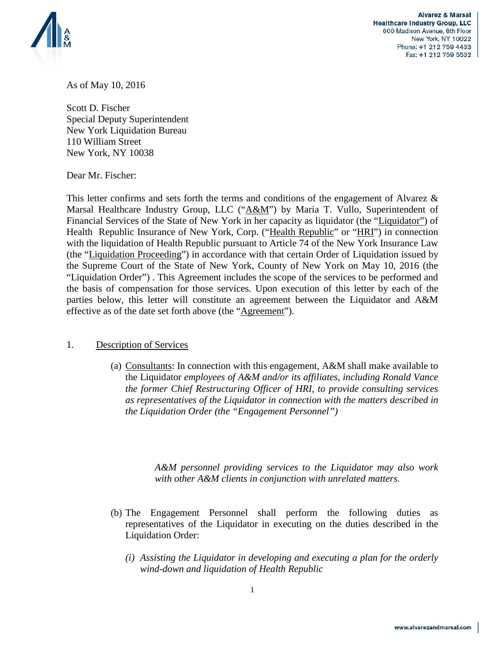

**Alvarez & Marsal Healthcare Industry Group, LLC** 600 Madison Avenue, 8th Floor New York, NY 10022 Phone: +1 212 759 4433 Fax: +1 212 759 5532

As of May 10, 2016

Scott D. Fischer Special Deputy Superintendent New York Liquidation Bureau 110 William Street New York, NY 10038

Dear Mr. Fischer:

This letter confirms and sets forth the terms and conditions of the engagement of Alvarez & Marsal Healthcare Industry Group, LLC ("A&M") by Maria T. Vullo, Superintendent of Financial Services of the State of New York in her capacity as liquidator (the "Liquidator") of Health Republic Insurance of New York, Corp. ("Health Republic" or "HRI") in connection with the liquidation of Health Republic pursuant to Article 74 of the New York Insurance Law (the "Liquidation Proceeding") in accordance with that certain Order of Liquidation issued by the Supreme Court of the State of New York, County of New York on May 10, 2016 (the "Liquidation Order") . This Agreement includes the scope of the services to be performed and the basis of compensation for those services. Upon execution of this letter by each of the parties below, this letter will constitute an agreement between the Liquidator and A&M effective as of the date set forth above (the "Agreement").

## 1. Description of Services

(a) Consultants: In connection with this engagement, A&M shall make available to the Liquidator *employees of A&M and/or its affiliates, including Ronald Vance the former Chief Restructuring Officer of HRI, to provide consulting services as representatives of the Liquidator in connection with the matters described in the Liquidation Order (the "Engagement Personnel")* 

> *A&M personnel providing services to the Liquidator may also work with other A&M clients in conjunction with unrelated matters.*

- (b) The Engagement Personnel shall perform the following duties as representatives of the Liquidator in executing on the duties described in the Liquidation Order:
	- *(i) Assisting the Liquidator in developing and executing a plan for the orderly wind-down and liquidation of Health Republic*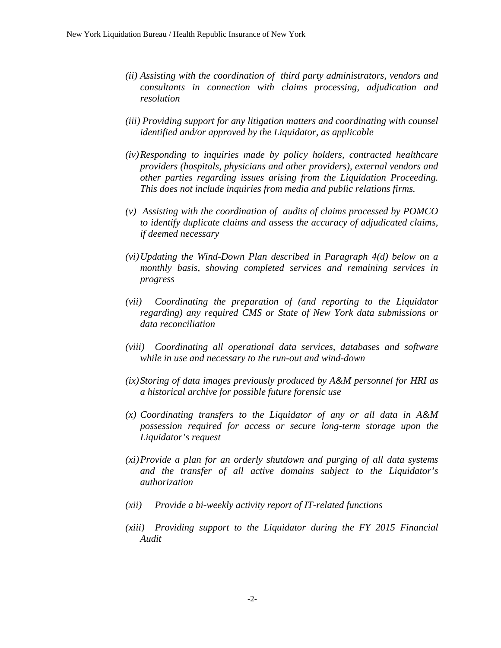- *(ii) Assisting with the coordination of third party administrators, vendors and consultants in connection with claims processing, adjudication and resolution*
- *(iii) Providing support for any litigation matters and coordinating with counsel identified and/or approved by the Liquidator, as applicable*
- *(iv)Responding to inquiries made by policy holders, contracted healthcare providers (hospitals, physicians and other providers), external vendors and other parties regarding issues arising from the Liquidation Proceeding. This does not include inquiries from media and public relations firms.*
- *(v) Assisting with the coordination of audits of claims processed by POMCO to identify duplicate claims and assess the accuracy of adjudicated claims, if deemed necessary*
- *(vi)Updating the Wind-Down Plan described in Paragraph 4(d) below on a monthly basis, showing completed services and remaining services in progress*
- *(vii) Coordinating the preparation of (and reporting to the Liquidator regarding) any required CMS or State of New York data submissions or data reconciliation*
- *(viii) Coordinating all operational data services, databases and software while in use and necessary to the run-out and wind-down*
- *(ix)Storing of data images previously produced by A&M personnel for HRI as a historical archive for possible future forensic use*
- *(x) Coordinating transfers to the Liquidator of any or all data in A&M possession required for access or secure long-term storage upon the Liquidator's request*
- *(xi)Provide a plan for an orderly shutdown and purging of all data systems and the transfer of all active domains subject to the Liquidator's authorization*
- *(xii) Provide a bi-weekly activity report of IT-related functions*
- *(xiii) Providing support to the Liquidator during the FY 2015 Financial Audit*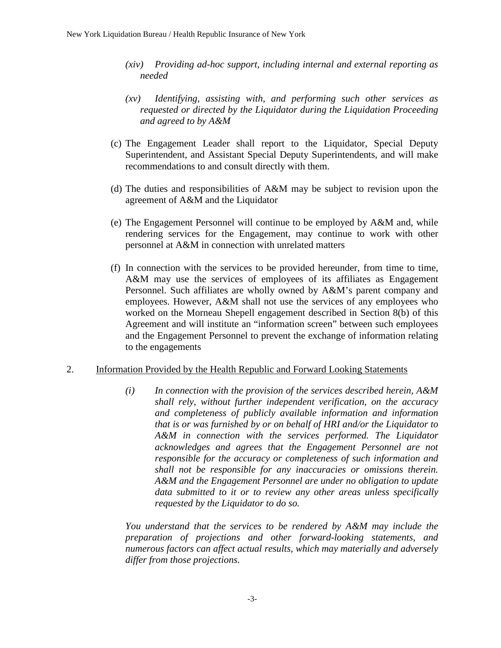- *(xiv) Providing ad-hoc support, including internal and external reporting as needed*
- *(xv) Identifying, assisting with, and performing such other services as requested or directed by the Liquidator during the Liquidation Proceeding and agreed to by A&M*
- (c) The Engagement Leader shall report to the Liquidator, Special Deputy Superintendent, and Assistant Special Deputy Superintendents, and will make recommendations to and consult directly with them.
- (d) The duties and responsibilities of A&M may be subject to revision upon the agreement of A&M and the Liquidator
- (e) The Engagement Personnel will continue to be employed by A&M and, while rendering services for the Engagement, may continue to work with other personnel at A&M in connection with unrelated matters
- (f) In connection with the services to be provided hereunder, from time to time, A&M may use the services of employees of its affiliates as Engagement Personnel. Such affiliates are wholly owned by A&M's parent company and employees. However, A&M shall not use the services of any employees who worked on the Morneau Shepell engagement described in Section 8(b) of this Agreement and will institute an "information screen" between such employees and the Engagement Personnel to prevent the exchange of information relating to the engagements

## 2. Information Provided by the Health Republic and Forward Looking Statements

*(i) In connection with the provision of the services described herein, A&M shall rely, without further independent verification, on the accuracy and completeness of publicly available information and information that is or was furnished by or on behalf of HRI and/or the Liquidator to A&M in connection with the services performed. The Liquidator acknowledges and agrees that the Engagement Personnel are not responsible for the accuracy or completeness of such information and shall not be responsible for any inaccuracies or omissions therein. A&M and the Engagement Personnel are under no obligation to update data submitted to it or to review any other areas unless specifically requested by the Liquidator to do so.*

*You understand that the services to be rendered by A&M may include the preparation of projections and other forward-looking statements, and numerous factors can affect actual results, which may materially and adversely differ from those projections.*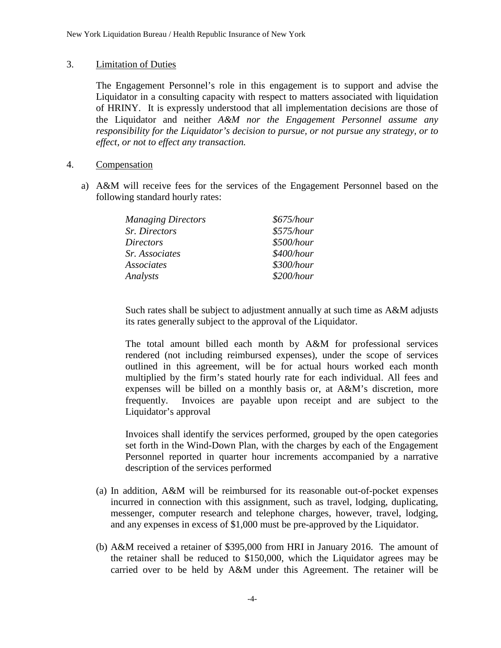## 3. Limitation of Duties

The Engagement Personnel's role in this engagement is to support and advise the Liquidator in a consulting capacity with respect to matters associated with liquidation of HRINY. It is expressly understood that all implementation decisions are those of the Liquidator and neither *A&M nor the Engagement Personnel assume any responsibility for the Liquidator's decision to pursue, or not pursue any strategy, or to effect, or not to effect any transaction.* 

- 4. Compensation
	- a) A&M will receive fees for the services of the Engagement Personnel based on the following standard hourly rates:

| <b>Managing Directors</b> | \$675/hour |
|---------------------------|------------|
| Sr. Directors             | \$575/hour |
| Directors                 | \$500/hour |
| Sr. Associates            | \$400/hour |
| Associates                | \$300/hour |
| Analysts                  | \$200/hour |

Such rates shall be subject to adjustment annually at such time as A&M adjusts its rates generally subject to the approval of the Liquidator.

The total amount billed each month by A&M for professional services rendered (not including reimbursed expenses), under the scope of services outlined in this agreement, will be for actual hours worked each month multiplied by the firm's stated hourly rate for each individual. All fees and expenses will be billed on a monthly basis or, at A&M's discretion, more frequently. Invoices are payable upon receipt and are subject to the Liquidator's approval

Invoices shall identify the services performed, grouped by the open categories set forth in the Wind-Down Plan, with the charges by each of the Engagement Personnel reported in quarter hour increments accompanied by a narrative description of the services performed

- (a) In addition, A&M will be reimbursed for its reasonable out-of-pocket expenses incurred in connection with this assignment, such as travel, lodging, duplicating, messenger, computer research and telephone charges, however, travel, lodging, and any expenses in excess of \$1,000 must be pre-approved by the Liquidator.
- (b) A&M received a retainer of \$395,000 from HRI in January 2016. The amount of the retainer shall be reduced to \$150,000, which the Liquidator agrees may be carried over to be held by A&M under this Agreement. The retainer will be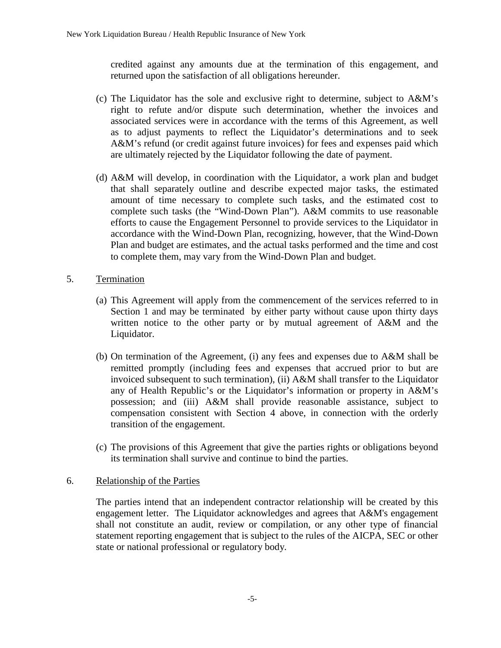credited against any amounts due at the termination of this engagement, and returned upon the satisfaction of all obligations hereunder.

- (c) The Liquidator has the sole and exclusive right to determine, subject to A&M's right to refute and/or dispute such determination, whether the invoices and associated services were in accordance with the terms of this Agreement, as well as to adjust payments to reflect the Liquidator's determinations and to seek A&M's refund (or credit against future invoices) for fees and expenses paid which are ultimately rejected by the Liquidator following the date of payment.
- (d) A&M will develop, in coordination with the Liquidator, a work plan and budget that shall separately outline and describe expected major tasks, the estimated amount of time necessary to complete such tasks, and the estimated cost to complete such tasks (the "Wind-Down Plan"). A&M commits to use reasonable efforts to cause the Engagement Personnel to provide services to the Liquidator in accordance with the Wind-Down Plan, recognizing, however, that the Wind-Down Plan and budget are estimates, and the actual tasks performed and the time and cost to complete them, may vary from the Wind-Down Plan and budget.
- 5. Termination
	- (a) This Agreement will apply from the commencement of the services referred to in Section 1 and may be terminated by either party without cause upon thirty days written notice to the other party or by mutual agreement of A&M and the Liquidator.
	- (b) On termination of the Agreement, (i) any fees and expenses due to A&M shall be remitted promptly (including fees and expenses that accrued prior to but are invoiced subsequent to such termination), (ii) A&M shall transfer to the Liquidator any of Health Republic's or the Liquidator's information or property in A&M's possession; and (iii) A&M shall provide reasonable assistance, subject to compensation consistent with Section 4 above, in connection with the orderly transition of the engagement.
	- (c) The provisions of this Agreement that give the parties rights or obligations beyond its termination shall survive and continue to bind the parties.

## 6. Relationship of the Parties

The parties intend that an independent contractor relationship will be created by this engagement letter. The Liquidator acknowledges and agrees that A&M's engagement shall not constitute an audit, review or compilation, or any other type of financial statement reporting engagement that is subject to the rules of the AICPA, SEC or other state or national professional or regulatory body*.*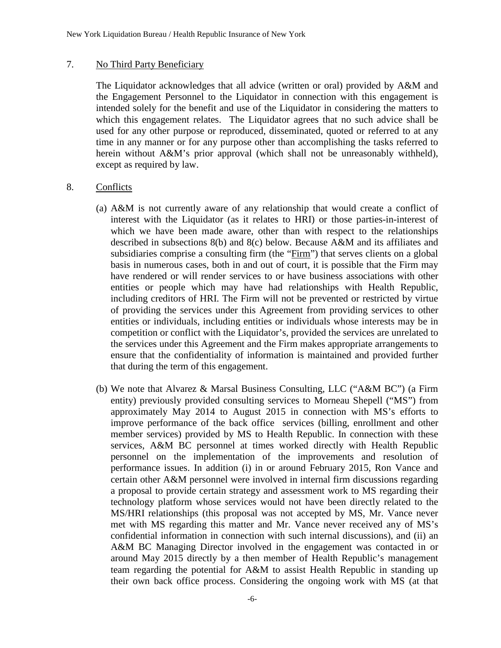#### 7. No Third Party Beneficiary

The Liquidator acknowledges that all advice (written or oral) provided by A&M and the Engagement Personnel to the Liquidator in connection with this engagement is intended solely for the benefit and use of the Liquidator in considering the matters to which this engagement relates. The Liquidator agrees that no such advice shall be used for any other purpose or reproduced, disseminated, quoted or referred to at any time in any manner or for any purpose other than accomplishing the tasks referred to herein without A&M's prior approval (which shall not be unreasonably withheld), except as required by law.

#### 8. Conflicts

- (a) A&M is not currently aware of any relationship that would create a conflict of interest with the Liquidator (as it relates to HRI) or those parties-in-interest of which we have been made aware, other than with respect to the relationships described in subsections 8(b) and 8(c) below. Because A&M and its affiliates and subsidiaries comprise a consulting firm (the "Firm") that serves clients on a global basis in numerous cases, both in and out of court, it is possible that the Firm may have rendered or will render services to or have business associations with other entities or people which may have had relationships with Health Republic, including creditors of HRI. The Firm will not be prevented or restricted by virtue of providing the services under this Agreement from providing services to other entities or individuals, including entities or individuals whose interests may be in competition or conflict with the Liquidator's, provided the services are unrelated to the services under this Agreement and the Firm makes appropriate arrangements to ensure that the confidentiality of information is maintained and provided further that during the term of this engagement.
- (b) We note that Alvarez & Marsal Business Consulting, LLC ("A&M BC") (a Firm entity) previously provided consulting services to Morneau Shepell ("MS") from approximately May 2014 to August 2015 in connection with MS's efforts to improve performance of the back office services (billing, enrollment and other member services) provided by MS to Health Republic. In connection with these services, A&M BC personnel at times worked directly with Health Republic personnel on the implementation of the improvements and resolution of performance issues. In addition (i) in or around February 2015, Ron Vance and certain other A&M personnel were involved in internal firm discussions regarding a proposal to provide certain strategy and assessment work to MS regarding their technology platform whose services would not have been directly related to the MS/HRI relationships (this proposal was not accepted by MS, Mr. Vance never met with MS regarding this matter and Mr. Vance never received any of MS's confidential information in connection with such internal discussions), and (ii) an A&M BC Managing Director involved in the engagement was contacted in or around May 2015 directly by a then member of Health Republic's management team regarding the potential for A&M to assist Health Republic in standing up their own back office process. Considering the ongoing work with MS (at that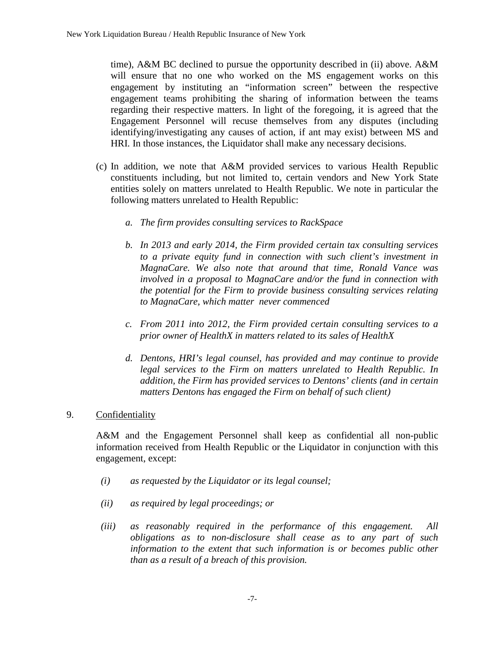time), A&M BC declined to pursue the opportunity described in (ii) above. A&M will ensure that no one who worked on the MS engagement works on this engagement by instituting an "information screen" between the respective engagement teams prohibiting the sharing of information between the teams regarding their respective matters. In light of the foregoing, it is agreed that the Engagement Personnel will recuse themselves from any disputes (including identifying/investigating any causes of action, if ant may exist) between MS and HRI. In those instances, the Liquidator shall make any necessary decisions.

- (c) In addition, we note that A&M provided services to various Health Republic constituents including, but not limited to, certain vendors and New York State entities solely on matters unrelated to Health Republic. We note in particular the following matters unrelated to Health Republic:
	- *a. The firm provides consulting services to RackSpace*
	- *b. In 2013 and early 2014, the Firm provided certain tax consulting services to a private equity fund in connection with such client's investment in MagnaCare. We also note that around that time, Ronald Vance was involved in a proposal to MagnaCare and/or the fund in connection with the potential for the Firm to provide business consulting services relating to MagnaCare, which matter never commenced*
	- *c. From 2011 into 2012, the Firm provided certain consulting services to a prior owner of HealthX in matters related to its sales of HealthX*
	- *d. Dentons, HRI's legal counsel, has provided and may continue to provide legal services to the Firm on matters unrelated to Health Republic. In addition, the Firm has provided services to Dentons' clients (and in certain matters Dentons has engaged the Firm on behalf of such client)*

## 9. Confidentiality

A&M and the Engagement Personnel shall keep as confidential all non-public information received from Health Republic or the Liquidator in conjunction with this engagement, except:

- *(i) as requested by the Liquidator or its legal counsel;*
- *(ii) as required by legal proceedings; or*
- *(iii) as reasonably required in the performance of this engagement. All obligations as to non-disclosure shall cease as to any part of such information to the extent that such information is or becomes public other than as a result of a breach of this provision.*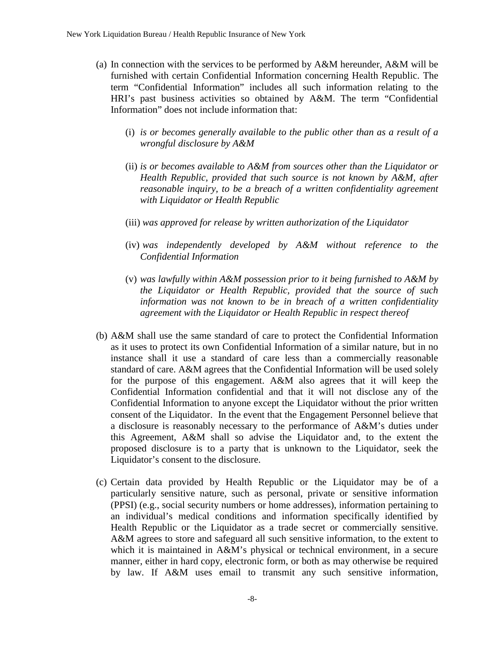- (a) In connection with the services to be performed by A&M hereunder, A&M will be furnished with certain Confidential Information concerning Health Republic. The term "Confidential Information" includes all such information relating to the HRI's past business activities so obtained by A&M. The term "Confidential Information" does not include information that:
	- (i) *is or becomes generally available to the public other than as a result of a wrongful disclosure by A&M*
	- (ii) *is or becomes available to A&M from sources other than the Liquidator or Health Republic, provided that such source is not known by A&M, after reasonable inquiry, to be a breach of a written confidentiality agreement with Liquidator or Health Republic*
	- (iii) *was approved for release by written authorization of the Liquidator*
	- (iv) *was independently developed by A&M without reference to the Confidential Information*
	- (v) *was lawfully within A&M possession prior to it being furnished to A&M by the Liquidator or Health Republic, provided that the source of such information was not known to be in breach of a written confidentiality agreement with the Liquidator or Health Republic in respect thereof*
- (b) A&M shall use the same standard of care to protect the Confidential Information as it uses to protect its own Confidential Information of a similar nature, but in no instance shall it use a standard of care less than a commercially reasonable standard of care. A&M agrees that the Confidential Information will be used solely for the purpose of this engagement. A&M also agrees that it will keep the Confidential Information confidential and that it will not disclose any of the Confidential Information to anyone except the Liquidator without the prior written consent of the Liquidator. In the event that the Engagement Personnel believe that a disclosure is reasonably necessary to the performance of A&M's duties under this Agreement, A&M shall so advise the Liquidator and, to the extent the proposed disclosure is to a party that is unknown to the Liquidator, seek the Liquidator's consent to the disclosure.
- (c) Certain data provided by Health Republic or the Liquidator may be of a particularly sensitive nature, such as personal, private or sensitive information (PPSI) (e.g., social security numbers or home addresses), information pertaining to an individual's medical conditions and information specifically identified by Health Republic or the Liquidator as a trade secret or commercially sensitive. A&M agrees to store and safeguard all such sensitive information, to the extent to which it is maintained in A&M's physical or technical environment, in a secure manner, either in hard copy, electronic form, or both as may otherwise be required by law. If A&M uses email to transmit any such sensitive information,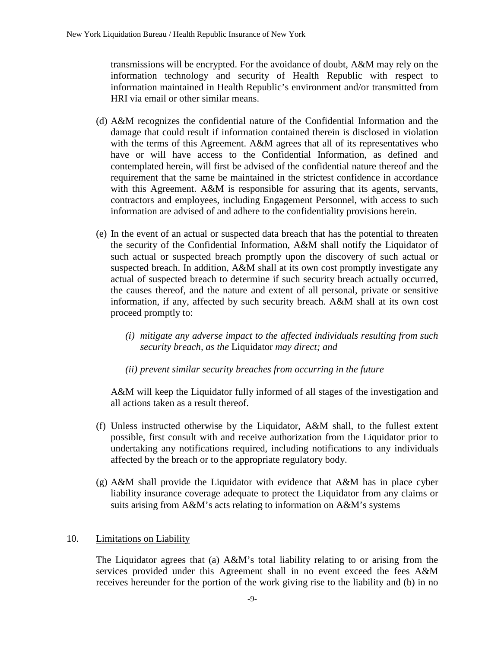transmissions will be encrypted. For the avoidance of doubt, A&M may rely on the information technology and security of Health Republic with respect to information maintained in Health Republic's environment and/or transmitted from HRI via email or other similar means.

- (d) A&M recognizes the confidential nature of the Confidential Information and the damage that could result if information contained therein is disclosed in violation with the terms of this Agreement. A&M agrees that all of its representatives who have or will have access to the Confidential Information, as defined and contemplated herein, will first be advised of the confidential nature thereof and the requirement that the same be maintained in the strictest confidence in accordance with this Agreement. A&M is responsible for assuring that its agents, servants, contractors and employees, including Engagement Personnel, with access to such information are advised of and adhere to the confidentiality provisions herein.
- (e) In the event of an actual or suspected data breach that has the potential to threaten the security of the Confidential Information, A&M shall notify the Liquidator of such actual or suspected breach promptly upon the discovery of such actual or suspected breach. In addition, A&M shall at its own cost promptly investigate any actual of suspected breach to determine if such security breach actually occurred, the causes thereof, and the nature and extent of all personal, private or sensitive information, if any, affected by such security breach. A&M shall at its own cost proceed promptly to:
	- *(i) mitigate any adverse impact to the affected individuals resulting from such security breach, as the* Liquidator *may direct; and*
	- *(ii) prevent similar security breaches from occurring in the future*

A&M will keep the Liquidator fully informed of all stages of the investigation and all actions taken as a result thereof.

- (f) Unless instructed otherwise by the Liquidator, A&M shall, to the fullest extent possible, first consult with and receive authorization from the Liquidator prior to undertaking any notifications required, including notifications to any individuals affected by the breach or to the appropriate regulatory body.
- (g) A&M shall provide the Liquidator with evidence that A&M has in place cyber liability insurance coverage adequate to protect the Liquidator from any claims or suits arising from A&M's acts relating to information on A&M's systems

## 10. Limitations on Liability

The Liquidator agrees that (a) A&M's total liability relating to or arising from the services provided under this Agreement shall in no event exceed the fees A&M receives hereunder for the portion of the work giving rise to the liability and (b) in no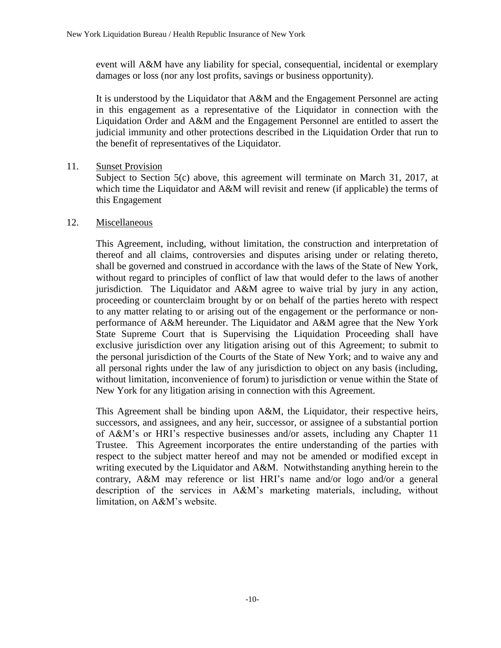event will A&M have any liability for special, consequential, incidental or exemplary damages or loss (nor any lost profits, savings or business opportunity).

It is understood by the Liquidator that A&M and the Engagement Personnel are acting in this engagement as a representative of the Liquidator in connection with the Liquidation Order and A&M and the Engagement Personnel are entitled to assert the judicial immunity and other protections described in the Liquidation Order that run to the benefit of representatives of the Liquidator.

## 11. Sunset Provision

Subject to Section 5(c) above, this agreement will terminate on March 31, 2017, at which time the Liquidator and A&M will revisit and renew (if applicable) the terms of this Engagement

# 12. Miscellaneous

This Agreement, including, without limitation, the construction and interpretation of thereof and all claims, controversies and disputes arising under or relating thereto, shall be governed and construed in accordance with the laws of the State of New York, without regard to principles of conflict of law that would defer to the laws of another jurisdiction. The Liquidator and A&M agree to waive trial by jury in any action, proceeding or counterclaim brought by or on behalf of the parties hereto with respect to any matter relating to or arising out of the engagement or the performance or nonperformance of A&M hereunder. The Liquidator and A&M agree that the New York State Supreme Court that is Supervising the Liquidation Proceeding shall have exclusive jurisdiction over any litigation arising out of this Agreement; to submit to the personal jurisdiction of the Courts of the State of New York; and to waive any and all personal rights under the law of any jurisdiction to object on any basis (including, without limitation, inconvenience of forum) to jurisdiction or venue within the State of New York for any litigation arising in connection with this Agreement.

This Agreement shall be binding upon A&M, the Liquidator, their respective heirs, successors, and assignees, and any heir, successor, or assignee of a substantial portion of A&M's or HRI's respective businesses and/or assets, including any Chapter 11 Trustee. This Agreement incorporates the entire understanding of the parties with respect to the subject matter hereof and may not be amended or modified except in writing executed by the Liquidator and A&M. Notwithstanding anything herein to the contrary, A&M may reference or list HRI's name and/or logo and/or a general description of the services in A&M's marketing materials, including, without limitation, on A&M's website.